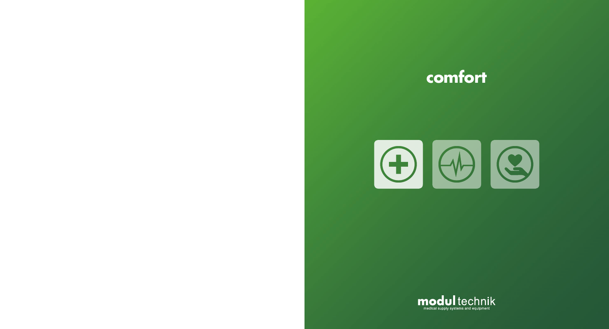# **comfort**



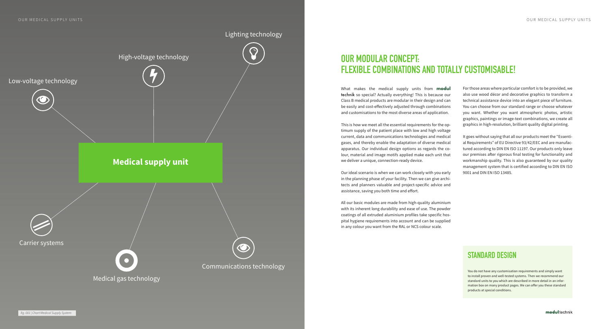What makes the medical supply units from **modul** technik so special? Actually everything! This is because our Class B medical products are modular in their design and can be easily and cost-effectively adjusted through combinations and customisations to the most diverse areas of application.

This is how we meet all the essential requirements for the optimum supply of the patient place with low and high voltage current, data and communications technologies and medical gases, and thereby enable the adaptation of diverse medical apparatus. Our individual design options as regards the colour, material and image motifs applied make each unit that we deliver a unique, connection-ready device.

Our ideal scenario is when we can work closely with you early in the planning phase of your facility. Then we can give architects and planners valuable and project-specific advice and assistance, saving you both time and effort.

All our basic modules are made from high-quality aluminium with its inherent long durability and ease of use. The powder coatings of all extruded aluminium profiles take specific hospital hygiene requirements into account and can be supplied in any colour you want from the RAL or NCS colour scale.

For those areas where particular comfort is to be provided, we also use wood décor and decorative graphics to transform a technical assistance device into an elegant piece of furniture. You can choose from our standard range or choose whatever you want. Whether you want atmospheric photos, artistic graphics, paintings or image-text combinations, we create all graphics in high-resolution, brilliant quality digital printing.

It goes without saying that all our products meet the "Essential Requirements" of EU Directive 93/42/EEC and are manufactured according to DIN EN ISO 11197. Our products only leave our premises after rigorous final testing for functionality and workmanship quality. This is also guaranteed by our quality management system that is certified according to DIN EN ISO 9001 and DIN EN ISO 13485.

# **OUR MODULAR CONCEPT: FLEXIBLE COMBINATIONS AND TOTALLY CUSTOMISABLE!**

# **STANDARD DESIGN**

You do not have any customisation requirements and simply want to install proven and well-tested systems. Then we recommend our standard units to you which are described in more detail in an information box on many product pages. We can offer you these standard products at special conditions.

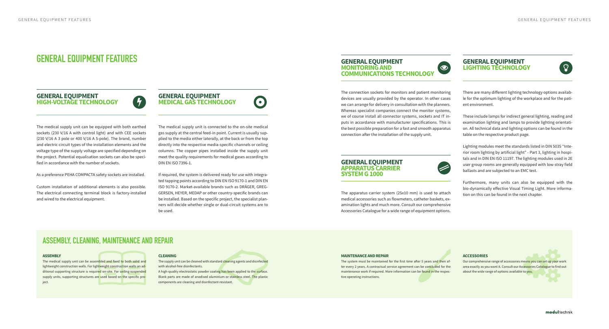## **GENERAL EQUIPMENT HIGH-VOLTAGE TECHNOLOGY**



The medical supply unit can be equipped with both earthed sockets (230 V/16 A with control light) and with CEE sockets (230 V/16 A 3 pole or 400 V/16 A 5-pole). The brand, number and electric circuit types of the installation elements and the voltage type of the supply voltage are specified depending on the project. Potential equalisation sockets can also be specified in accordance with the number of sockets.

As a preference PEHA COMPACTA safety sockets are installed.

Custom installation of additional elements is also possible. The electrical connecting terminal block is factory-installed and wired to the electrical equipment.

## **GENERAL EQUIPMENT MEDICAL GAS TECHNOLOGY**

 $\odot$ **COMMUNICATIONS TECHNOLOGY**



The medical supply unit is connected to the on-site medical gas supply at the central feed-in point. Current is usually supplied to the media either laterally, at the back or from the top directly into the respective media-specific channels or ceiling columns. The copper pipes installed inside the supply unit meet the quality requirements for medical gases according to DIN EN ISO 7396-1.

 $\bullet$ 

If required, the system is delivered ready for use with integrated tapping points according to DIN EN ISO 9170-1 and DIN EN ISO 9170-2. Market-available brands such as DRÄGER, GREG-GERSEN, HEYER, MEDAP or other country-specific brands can be installed. Based on the specific project, the specialist planners will decide whether single or dual-circuit systems are to be used.

# **GENERAL EQUIPMENT MONITORING AND**

The connection sockets for monitors and patient monitoring devices are usually provided by the operator. In other cases we can arrange for delivery in consultation with the planners. Whereas specialist companies connect the monitor systems, we of course install all connector systems, sockets and IT inputs in accordance with manufacturer specifications. This is the best possible preparation for a fast and smooth apparatus connection after the installation of the supply unit.

The medical supply unit can be assembled and fixed to both solid and lightweight construction walls. For lightweight construction walls an additional supporting structure is required on-site. For ceiling-suspended supply units, supporting structures are used based on the specific project.

## **GENERAL EQUIPMENT APPARATUS CARRIER SYSTEM G 1000**

A high-quality electrostatic powder coating has been applied to the surface. Blank parts are made of anodised aluminium or stainless steel. The plastic components are cleaning and disinfectant-resistant.

The apparatus carrier system (25x10 mm) is used to attach medical accessories such as flowmeters, catheter baskets, examination lights and much more. Consult our comprehensive Accessories Catalogue for a wide range of equipment options.

## **GENERAL EQUIPMENT LIGHTING TECHNOLOGY**



There are many different lighting technology options available for the optimum lighting of the workplace and for the patient environment.

These include lamps for indirect general lighting, reading and examination lighting and lamps to provide lighting orientation. All technical data and lighting options can be found in the table on the respective product page.

Lighting modules meet the standards listed in DIN 5035 "Interior room lighting by artificial light" - Part 3, lighting in hospitals and in DIN EN ISO 11197. The lighting modules used in 2E user group rooms are generally equipped with low-stray field ballasts and are subjected to an EMC test.

Furthermore, many units can also be equipped with the bio-dynamically effective Visual Timing Light. More information on this can be found in the next chapter.

# **GENERAL EQUIPMENT FEATURES**

## **ACCESSORIES**

Our comprehensive range of accessories means you can set up your work area exactly as you want it. Consult our Accessories Catalogue to find out about the wide range of options available to you.

## **MAINTENANCE AND REPAIR**

The system must be maintained for the first time after 5 years and then after every 2 years. A contractual service agreement can be concluded for the maintenance work if required. More information can be found in the respective operating instructions.

### **ASSEMBLY**

## **CLEANING**

The supply unit can be cleaned with standard cleaning agents and disinfected with alcohol-free disinfectants.

## **ASSEMBLY, CLEANING, MAINTENANCE AND REPAIR**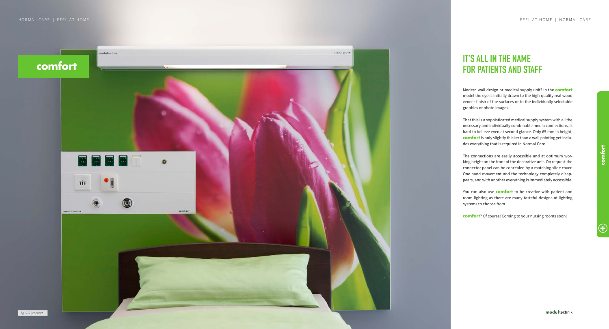# **FOR PATIENTS AND STAFF**

Modern wall design or medical supply unit? In the **comfort** model the eye is initially drawn to the high-quality real wood veneer finish of the surfaces or to the individually selectable graphics or photo images.

That this is a sophisticated medical supply system with all the necessary and individually combinable media connections, is hard to believe even at second glance. Only 65 mm in height, **comfort** is only slightly thicker than a wall painting yet inclu des everything that is required in Normal Care.



The connections are easily accessible and at optimum wor king height on the front of the decorative unit. On request the connector panel can be concealed by a matching slide cover. One hand movement and the technology completely disap pears, and with another everything is immediately accessible.

You can also use **comfort** to be creative with patient and room lighting as there are many tasteful designs of lighting systems to choose from.

**comfort**? Of course! Coming to your nursing rooms soon!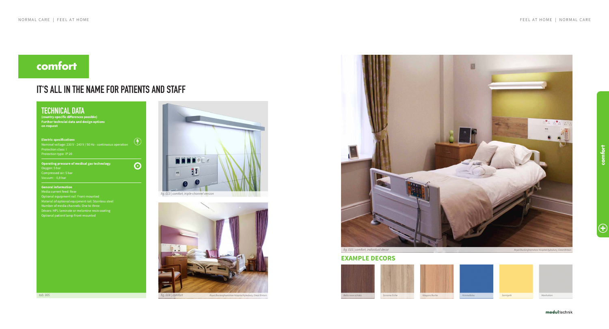modul technik

# **comfort**

# **IT'S ALL IN THE NAME FOR PATIENTS AND STAFF**

 $\left( \mathbf{F}\right)$ 

 $\odot$ 

# **TECHNICAL DATA**

**(country-specific differences possible) Further techncial data and design options on request**

### **Electric specifications**

Nominal voltage: 230 V - 240 V / 50 Hz - continuous operation Protection class: I Protection type: IP 20

## **Operating pressure of medical gas technology** Oxygen: 5 bar Compressed air: 5 bar

## **General information**

Optional equipment rail: Front-mounted Material of optional equipment rail: Stainless steel Number of media channels: One to three Décors: HPL-laminate or melamine resin coating Optional patient lamp Front-mounted

## **EXAMPLE DECORS**